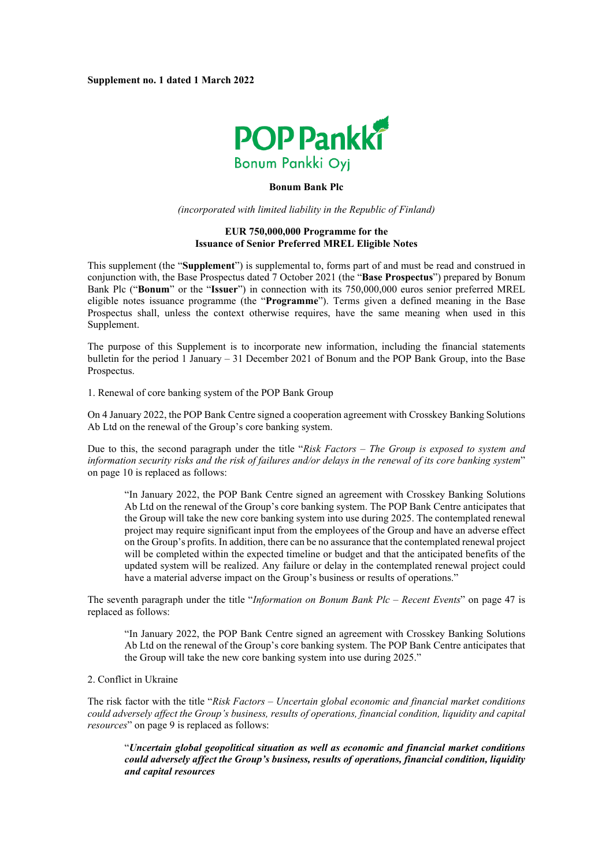

## **Bonum Bank Plc**

*(incorporated with limited liability in the Republic of Finland)*

## **EUR 750,000,000 Programme for the Issuance of Senior Preferred MREL Eligible Notes**

This supplement (the "**Supplement**") is supplemental to, forms part of and must be read and construed in conjunction with, the Base Prospectus dated 7 October 2021 (the "**Base Prospectus**") prepared by Bonum Bank Plc ("**Bonum**" or the "**Issuer**") in connection with its 750,000,000 euros senior preferred MREL eligible notes issuance programme (the "**Programme**"). Terms given a defined meaning in the Base Prospectus shall, unless the context otherwise requires, have the same meaning when used in this Supplement.

The purpose of this Supplement is to incorporate new information, including the financial statements bulletin for the period 1 January – 31 December 2021 of Bonum and the POP Bank Group, into the Base Prospectus.

1. Renewal of core banking system of the POP Bank Group

On 4 January 2022, the POP Bank Centre signed a cooperation agreement with Crosskey Banking Solutions Ab Ltd on the renewal of the Group's core banking system.

Due to this, the second paragraph under the title "*Risk Factors* – *The Group is exposed to system and information security risks and the risk of failures and/or delays in the renewal of its core banking system*" on page 10 is replaced as follows:

"In January 2022, the POP Bank Centre signed an agreement with Crosskey Banking Solutions Ab Ltd on the renewal of the Group's core banking system. The POP Bank Centre anticipates that the Group will take the new core banking system into use during 2025. The contemplated renewal project may require significant input from the employees of the Group and have an adverse effect on the Group's profits. In addition, there can be no assurance that the contemplated renewal project will be completed within the expected timeline or budget and that the anticipated benefits of the updated system will be realized. Any failure or delay in the contemplated renewal project could have a material adverse impact on the Group's business or results of operations."

The seventh paragraph under the title "*Information on Bonum Bank Plc* – *Recent Events*" on page 47 is replaced as follows:

"In January 2022, the POP Bank Centre signed an agreement with Crosskey Banking Solutions Ab Ltd on the renewal of the Group's core banking system. The POP Bank Centre anticipates that the Group will take the new core banking system into use during 2025."

## 2. Conflict in Ukraine

The risk factor with the title "*Risk Factors – Uncertain global economic and financial market conditions could adversely affect the Group's business, results of operations, financial condition, liquidity and capital resources*" on page 9 is replaced as follows:

"*Uncertain global geopolitical situation as well as economic and financial market conditions could adversely affect the Group's business, results of operations, financial condition, liquidity and capital resources*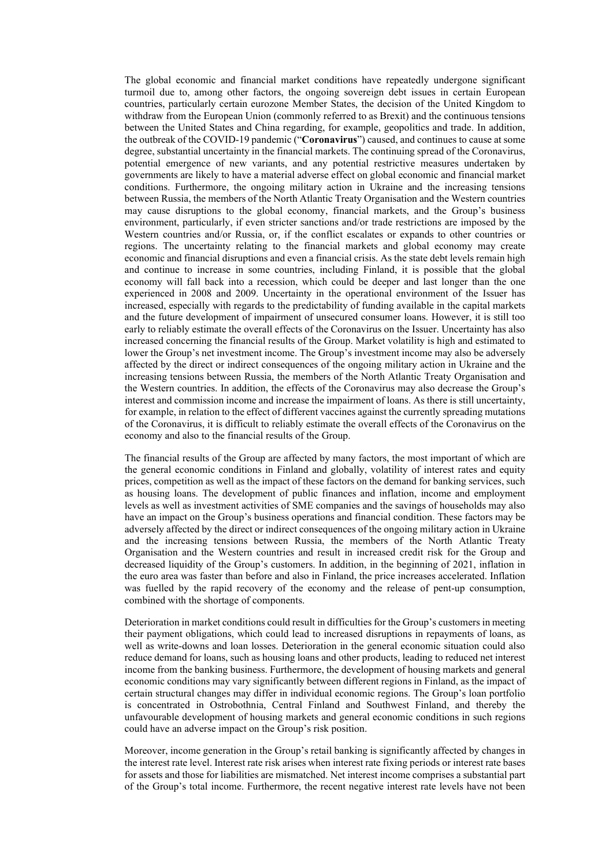The global economic and financial market conditions have repeatedly undergone significant turmoil due to, among other factors, the ongoing sovereign debt issues in certain European countries, particularly certain eurozone Member States, the decision of the United Kingdom to withdraw from the European Union (commonly referred to as Brexit) and the continuous tensions between the United States and China regarding, for example, geopolitics and trade. In addition, the outbreak of the COVID-19 pandemic ("**Coronavirus**") caused, and continues to cause at some degree, substantial uncertainty in the financial markets. The continuing spread of the Coronavirus, potential emergence of new variants, and any potential restrictive measures undertaken by governments are likely to have a material adverse effect on global economic and financial market conditions. Furthermore, the ongoing military action in Ukraine and the increasing tensions between Russia, the members of the North Atlantic Treaty Organisation and the Western countries may cause disruptions to the global economy, financial markets, and the Group's business environment, particularly, if even stricter sanctions and/or trade restrictions are imposed by the Western countries and/or Russia, or, if the conflict escalates or expands to other countries or regions. The uncertainty relating to the financial markets and global economy may create economic and financial disruptions and even a financial crisis. As the state debt levels remain high and continue to increase in some countries, including Finland, it is possible that the global economy will fall back into a recession, which could be deeper and last longer than the one experienced in 2008 and 2009. Uncertainty in the operational environment of the Issuer has increased, especially with regards to the predictability of funding available in the capital markets and the future development of impairment of unsecured consumer loans. However, it is still too early to reliably estimate the overall effects of the Coronavirus on the Issuer. Uncertainty has also increased concerning the financial results of the Group. Market volatility is high and estimated to lower the Group's net investment income. The Group's investment income may also be adversely affected by the direct or indirect consequences of the ongoing military action in Ukraine and the increasing tensions between Russia, the members of the North Atlantic Treaty Organisation and the Western countries. In addition, the effects of the Coronavirus may also decrease the Group's interest and commission income and increase the impairment of loans. As there is still uncertainty, for example, in relation to the effect of different vaccines against the currently spreading mutations of the Coronavirus, it is difficult to reliably estimate the overall effects of the Coronavirus on the economy and also to the financial results of the Group.

The financial results of the Group are affected by many factors, the most important of which are the general economic conditions in Finland and globally, volatility of interest rates and equity prices, competition as well as the impact of these factors on the demand for banking services, such as housing loans. The development of public finances and inflation, income and employment levels as well as investment activities of SME companies and the savings of households may also have an impact on the Group's business operations and financial condition. These factors may be adversely affected by the direct or indirect consequences of the ongoing military action in Ukraine and the increasing tensions between Russia, the members of the North Atlantic Treaty Organisation and the Western countries and result in increased credit risk for the Group and decreased liquidity of the Group's customers. In addition, in the beginning of 2021, inflation in the euro area was faster than before and also in Finland, the price increases accelerated. Inflation was fuelled by the rapid recovery of the economy and the release of pent-up consumption, combined with the shortage of components.

Deterioration in market conditions could result in difficulties for the Group's customers in meeting their payment obligations, which could lead to increased disruptions in repayments of loans, as well as write-downs and loan losses. Deterioration in the general economic situation could also reduce demand for loans, such as housing loans and other products, leading to reduced net interest income from the banking business. Furthermore, the development of housing markets and general economic conditions may vary significantly between different regions in Finland, as the impact of certain structural changes may differ in individual economic regions. The Group's loan portfolio is concentrated in Ostrobothnia, Central Finland and Southwest Finland, and thereby the unfavourable development of housing markets and general economic conditions in such regions could have an adverse impact on the Group's risk position.

Moreover, income generation in the Group's retail banking is significantly affected by changes in the interest rate level. Interest rate risk arises when interest rate fixing periods or interest rate bases for assets and those for liabilities are mismatched. Net interest income comprises a substantial part of the Group's total income. Furthermore, the recent negative interest rate levels have not been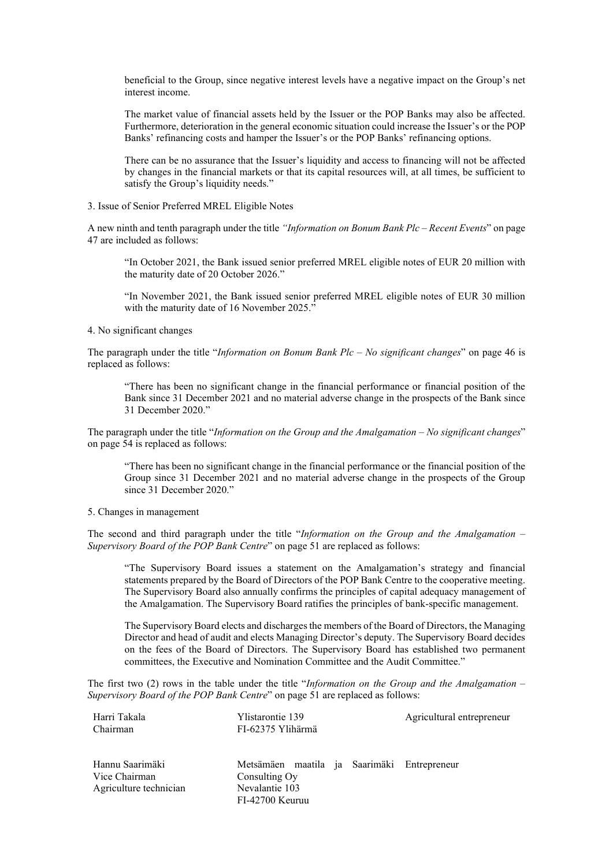beneficial to the Group, since negative interest levels have a negative impact on the Group's net interest income.

The market value of financial assets held by the Issuer or the POP Banks may also be affected. Furthermore, deterioration in the general economic situation could increase the Issuer's or the POP Banks' refinancing costs and hamper the Issuer's or the POP Banks' refinancing options.

There can be no assurance that the Issuer's liquidity and access to financing will not be affected by changes in the financial markets or that its capital resources will, at all times, be sufficient to satisfy the Group's liquidity needs."

3. Issue of Senior Preferred MREL Eligible Notes

A new ninth and tenth paragraph under the title *"Information on Bonum Bank Plc – Recent Events*" on page 47 are included as follows:

"In October 2021, the Bank issued senior preferred MREL eligible notes of EUR 20 million with the maturity date of 20 October 2026."

"In November 2021, the Bank issued senior preferred MREL eligible notes of EUR 30 million with the maturity date of 16 November 2025."

4. No significant changes

The paragraph under the title "*Information on Bonum Bank Plc – No significant changes*" on page 46 is replaced as follows:

"There has been no significant change in the financial performance or financial position of the Bank since 31 December 2021 and no material adverse change in the prospects of the Bank since 31 December 2020."

The paragraph under the title "*Information on the Group and the Amalgamation* – *No significant changes*" on page 54 is replaced as follows:

"There has been no significant change in the financial performance or the financial position of the Group since 31 December 2021 and no material adverse change in the prospects of the Group since 31 December 2020."

5. Changes in management

The second and third paragraph under the title "*Information on the Group and the Amalgamation* – *Supervisory Board of the POP Bank Centre*" on page 51 are replaced as follows:

"The Supervisory Board issues a statement on the Amalgamation's strategy and financial statements prepared by the Board of Directors of the POP Bank Centre to the cooperative meeting. The Supervisory Board also annually confirms the principles of capital adequacy management of the Amalgamation. The Supervisory Board ratifies the principles of bank-specific management.

The Supervisory Board elects and discharges the members of the Board of Directors, the Managing Director and head of audit and elects Managing Director's deputy. The Supervisory Board decides on the fees of the Board of Directors. The Supervisory Board has established two permanent committees, the Executive and Nomination Committee and the Audit Committee."

The first two (2) rows in the table under the title "*Information on the Group and the Amalgamation – Supervisory Board of the POP Bank Centre*" on page 51 are replaced as follows:

| Harri Takala<br>Chairman                                   | Ylistarontie 139<br>FI-62375 Ylihärmä                                                             | Agricultural entrepreneur |
|------------------------------------------------------------|---------------------------------------------------------------------------------------------------|---------------------------|
| Hannu Saarimäki<br>Vice Chairman<br>Agriculture technician | Metsämäen maatila ja Saarimäki Entrepreneur<br>Consulting Oy<br>Nevalantie 103<br>FI-42700 Keuruu |                           |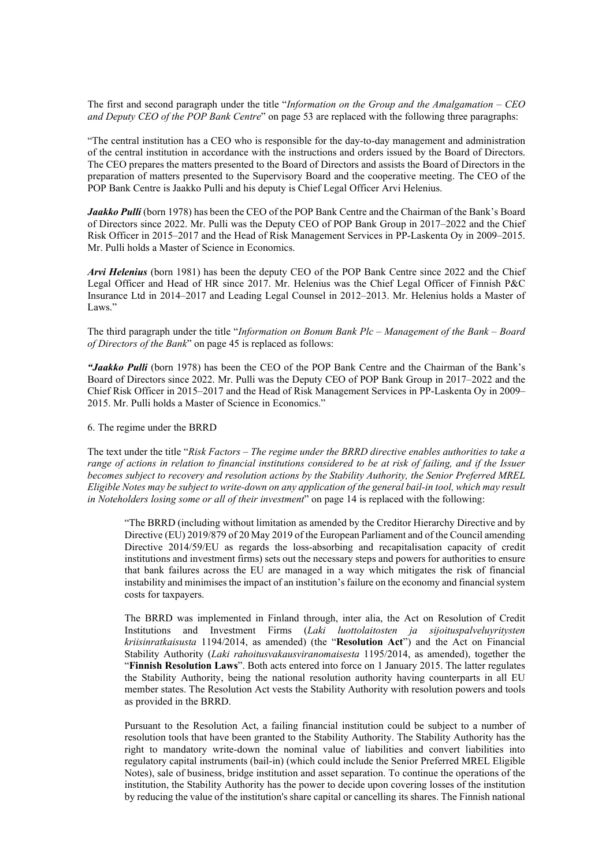The first and second paragraph under the title "*Information on the Group and the Amalgamation – CEO and Deputy CEO of the POP Bank Centre*" on page 53 are replaced with the following three paragraphs:

"The central institution has a CEO who is responsible for the day-to-day management and administration of the central institution in accordance with the instructions and orders issued by the Board of Directors. The CEO prepares the matters presented to the Board of Directors and assists the Board of Directors in the preparation of matters presented to the Supervisory Board and the cooperative meeting. The CEO of the POP Bank Centre is Jaakko Pulli and his deputy is Chief Legal Officer Arvi Helenius.

*Jaakko Pulli* (born 1978) has been the CEO of the POP Bank Centre and the Chairman of the Bank's Board of Directors since 2022. Mr. Pulli was the Deputy CEO of POP Bank Group in 2017–2022 and the Chief Risk Officer in 2015–2017 and the Head of Risk Management Services in PP-Laskenta Oy in 2009–2015. Mr. Pulli holds a Master of Science in Economics.

*Arvi Helenius* (born 1981) has been the deputy CEO of the POP Bank Centre since 2022 and the Chief Legal Officer and Head of HR since 2017. Mr. Helenius was the Chief Legal Officer of Finnish P&C Insurance Ltd in 2014–2017 and Leading Legal Counsel in 2012–2013. Mr. Helenius holds a Master of Laws."

The third paragraph under the title "*Information on Bonum Bank Plc – Management of the Bank – Board of Directors of the Bank*" on page 45 is replaced as follows:

*"Jaakko Pulli* (born 1978) has been the CEO of the POP Bank Centre and the Chairman of the Bank's Board of Directors since 2022. Mr. Pulli was the Deputy CEO of POP Bank Group in 2017–2022 and the Chief Risk Officer in 2015–2017 and the Head of Risk Management Services in PP-Laskenta Oy in 2009– 2015. Mr. Pulli holds a Master of Science in Economics."

## 6. The regime under the BRRD

The text under the title "*Risk Factors* – *The regime under the BRRD directive enables authorities to take a range of actions in relation to financial institutions considered to be at risk of failing, and if the Issuer becomes subject to recovery and resolution actions by the Stability Authority, the Senior Preferred MREL Eligible Notes may be subject to write-down on any application of the general bail-in tool, which may result in Noteholders losing some or all of their investment*" on page 14 is replaced with the following:

"The BRRD (including without limitation as amended by the Creditor Hierarchy Directive and by Directive (EU) 2019/879 of 20 May 2019 of the European Parliament and of the Council amending Directive 2014/59/EU as regards the loss-absorbing and recapitalisation capacity of credit institutions and investment firms) sets out the necessary steps and powers for authorities to ensure that bank failures across the EU are managed in a way which mitigates the risk of financial instability and minimises the impact of an institution's failure on the economy and financial system costs for taxpayers.

The BRRD was implemented in Finland through, inter alia, the Act on Resolution of Credit Institutions and Investment Firms (*Laki luottolaitosten ja sijoituspalveluyritysten kriisinratkaisusta* 1194/2014, as amended) (the "**Resolution Act**") and the Act on Financial Stability Authority (*Laki rahoitusvakausviranomaisesta* 1195/2014, as amended), together the "**Finnish Resolution Laws**". Both acts entered into force on 1 January 2015. The latter regulates the Stability Authority, being the national resolution authority having counterparts in all EU member states. The Resolution Act vests the Stability Authority with resolution powers and tools as provided in the BRRD.

Pursuant to the Resolution Act, a failing financial institution could be subject to a number of resolution tools that have been granted to the Stability Authority. The Stability Authority has the right to mandatory write-down the nominal value of liabilities and convert liabilities into regulatory capital instruments (bail-in) (which could include the Senior Preferred MREL Eligible Notes), sale of business, bridge institution and asset separation. To continue the operations of the institution, the Stability Authority has the power to decide upon covering losses of the institution by reducing the value of the institution's share capital or cancelling its shares. The Finnish national